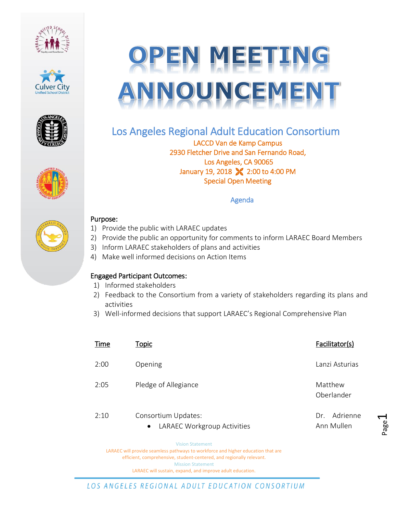







# Los Angeles Regional Adult Education Consortium

LACCD Van de Kamp Campus 2930 Fletcher Drive and San Fernando Road, Los Angeles, CA 90065 January 19, 2018 **X** 2:00 to 4:00 PM Special Open Meeting

Agenda



## Purpose:

- 1) Provide the public with LARAEC updates
- 2) Provide the public an opportunity for comments to inform LARAEC Board Members
- 3) Inform LARAEC stakeholders of plans and activities
- 4) Make well informed decisions on Action Items

### Engaged Participant Outcomes:

- 1) Informed stakeholders
- 2) Feedback to the Consortium from a variety of stakeholders regarding its plans and activities
- 3) Well-informed decisions that support LARAEC's Regional Comprehensive Plan

| Time | Topic                                                           | Facilitator(s)                |
|------|-----------------------------------------------------------------|-------------------------------|
| 2:00 | Opening                                                         | Lanzi Asturias                |
| 2:05 | Pledge of Allegiance                                            | Matthew<br>Oberlander         |
| 2:10 | Consortium Updates:<br>LARAEC Workgroup Activities<br>$\bullet$ | Adrienne<br>Dr.<br>Ann Mullen |

Vision Statement LARAEC will provide seamless pathways to workforce and higher education that are efficient, comprehensive, student-centered, and regionally relevant. Mission Statement LARAEC will sustain, expand, and improve adult education.



 $\overline{\phantom{0}}$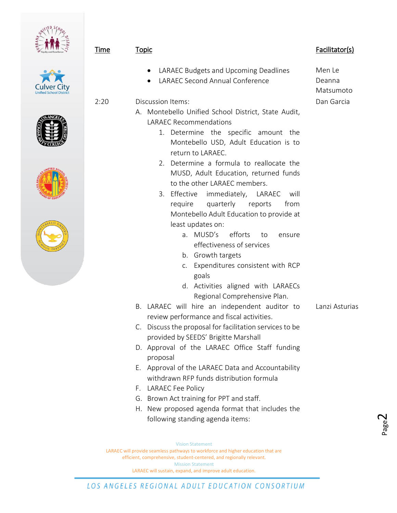

Culver

| Time | <b>Topic</b>                                                                                                                                                                                                                                                                                                                                                                                                                                                                                                                                                                                                                                                                                                                                                           | Facilitator(s)                |
|------|------------------------------------------------------------------------------------------------------------------------------------------------------------------------------------------------------------------------------------------------------------------------------------------------------------------------------------------------------------------------------------------------------------------------------------------------------------------------------------------------------------------------------------------------------------------------------------------------------------------------------------------------------------------------------------------------------------------------------------------------------------------------|-------------------------------|
|      | LARAEC Budgets and Upcoming Deadlines<br>$\bullet$<br><b>LARAEC Second Annual Conference</b>                                                                                                                                                                                                                                                                                                                                                                                                                                                                                                                                                                                                                                                                           | Men Le<br>Deanna<br>Matsumoto |
| 2:20 | Discussion Items:<br>A. Montebello Unified School District, State Audit,<br><b>LARAEC Recommendations</b><br>1. Determine the specific amount the<br>Montebello USD, Adult Education is to<br>return to LARAEC.<br>2. Determine a formula to reallocate the<br>MUSD, Adult Education, returned funds<br>to the other LARAEC members.<br>3. Effective<br>immediately,<br>LARAEC<br>will<br>quarterly<br>reports<br>require<br>from<br>Montebello Adult Education to provide at<br>least updates on:<br>efforts<br>a. MUSD's<br>to<br>ensure<br>effectiveness of services<br>b. Growth targets<br>Expenditures consistent with RCP<br>C.<br>goals<br>d. Activities aligned with LARAECs<br>Regional Comprehensive Plan.<br>B. LARAEC will hire an independent auditor to | Dan Garcia<br>Lanzi Asturias  |
|      | review performance and fiscal activities.<br>C. Discuss the proposal for facilitation services to be<br>provided by SEEDS' Brigitte Marshall                                                                                                                                                                                                                                                                                                                                                                                                                                                                                                                                                                                                                           |                               |
|      | D. Approval of the LARAEC Office Staff funding<br>proposal                                                                                                                                                                                                                                                                                                                                                                                                                                                                                                                                                                                                                                                                                                             |                               |
|      | E. Approval of the LARAEC Data and Accountability<br>withdrawn RFP funds distribution formula<br><b>LARAEC Fee Policy</b><br>F.                                                                                                                                                                                                                                                                                                                                                                                                                                                                                                                                                                                                                                        |                               |
|      | G. Brown Act training for PPT and staff.<br>H. New proposed agenda format that includes the<br>following standing agenda items:                                                                                                                                                                                                                                                                                                                                                                                                                                                                                                                                                                                                                                        |                               |
|      |                                                                                                                                                                                                                                                                                                                                                                                                                                                                                                                                                                                                                                                                                                                                                                        |                               |

Vision Statement LARAEC will provide seamless pathways to workforce and higher education that are efficient, comprehensive, student-centered, and regionally relevant. Mission Statement LARAEC will sustain, expand, and improve adult education.

Page  $\boldsymbol{\sim}$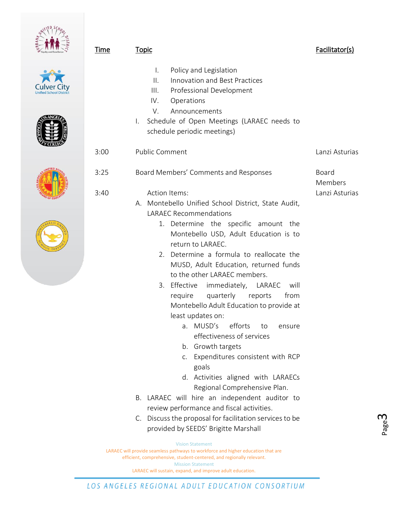







| Time | <b>Topic</b>                                                                                                                                                                                                                                                                                                                                                                                                                                                                       | Facilitator(s)   |
|------|------------------------------------------------------------------------------------------------------------------------------------------------------------------------------------------------------------------------------------------------------------------------------------------------------------------------------------------------------------------------------------------------------------------------------------------------------------------------------------|------------------|
|      | Policy and Legislation<br>$\mathbf{L}$<br><b>Innovation and Best Practices</b><br>$\mathbf{II}$ .<br>III.<br>Professional Development<br>IV.<br>Operations<br>V.<br>Announcements<br>Schedule of Open Meetings (LARAEC needs to<br>I.<br>schedule periodic meetings)                                                                                                                                                                                                               |                  |
| 3:00 | <b>Public Comment</b>                                                                                                                                                                                                                                                                                                                                                                                                                                                              | Lanzi Asturias   |
| 3:25 | Board Members' Comments and Responses                                                                                                                                                                                                                                                                                                                                                                                                                                              | Board<br>Members |
| 3:40 | Action Items:<br>A. Montebello Unified School District, State Audit,<br><b>LARAEC Recommendations</b><br>1. Determine the specific amount the<br>Montebello USD, Adult Education is to<br>return to LARAEC.<br>2. Determine a formula to reallocate the<br>MUSD, Adult Education, returned funds<br>to the other LARAEC members.<br>3. Effective immediately, LARAEC will<br>quarterly reports<br>require<br>from<br>Montebello Adult Education to provide at<br>least updates on: | Lanzi Asturias   |

- a. MUSD's efforts to ensure effectiveness of services
- b. Growth targets
- c. Expenditures consistent with RCP goals
- d. Activities aligned with LARAECs Regional Comprehensive Plan.
- B. LARAEC will hire an independent auditor to review performance and fiscal activities.
- C. Discuss the proposal for facilitation services to be provided by SEEDS' Brigitte Marshall

Vision Statement LARAEC will provide seamless pathways to workforce and higher education that are efficient, comprehensive, student-centered, and regionally relevant. Mission Statement LARAEC will sustain, expand, and improve adult education.